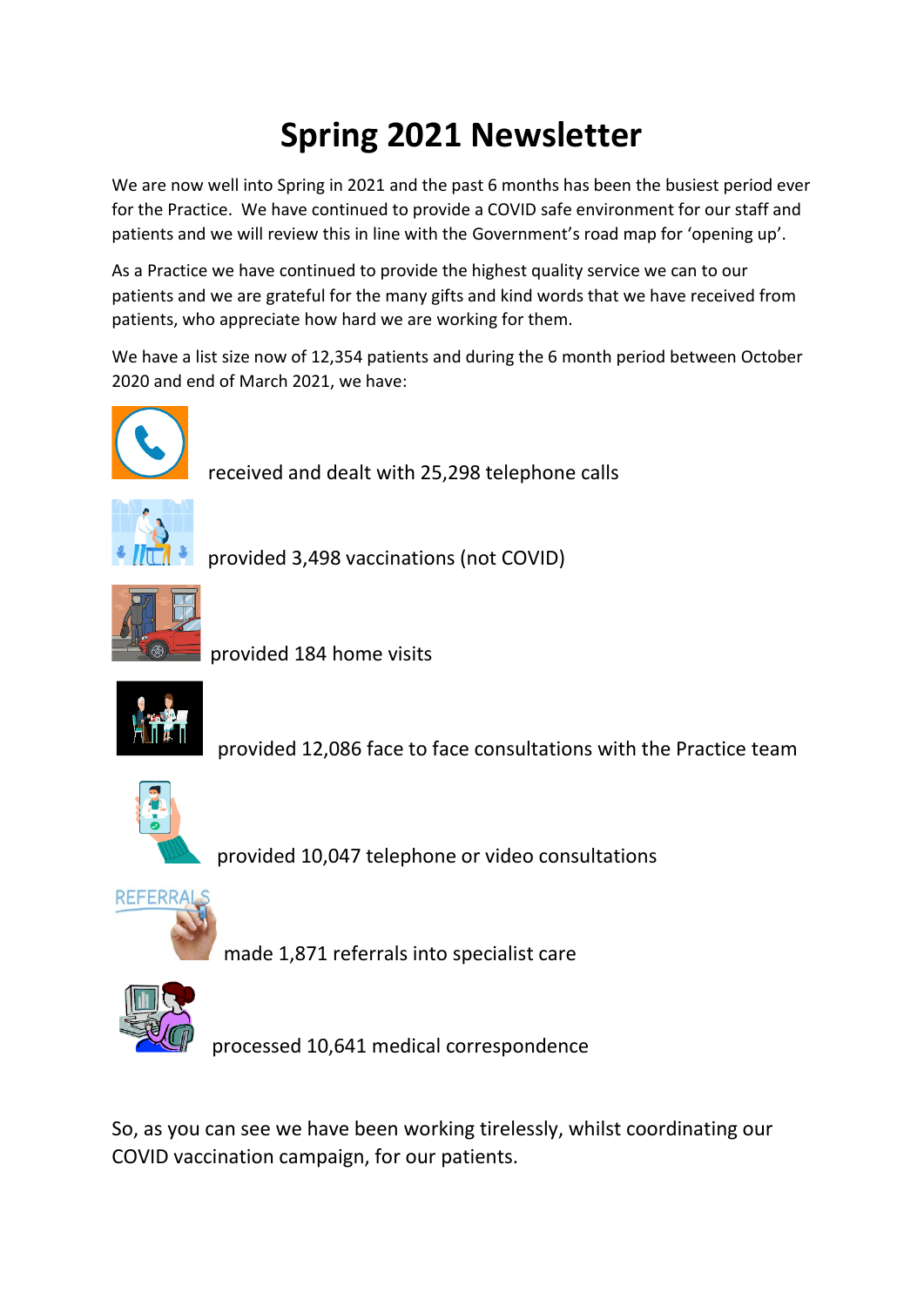## **Spring 2021 Newsletter**

We are now well into Spring in 2021 and the past 6 months has been the busiest period ever for the Practice. We have continued to provide a COVID safe environment for our staff and patients and we will review this in line with the Government's road map for 'opening up'.

As a Practice we have continued to provide the highest quality service we can to our patients and we are grateful for the many gifts and kind words that we have received from patients, who appreciate how hard we are working for them.

We have a list size now of 12,354 patients and during the 6 month period between October 2020 and end of March 2021, we have:



received and dealt with 25,298 telephone calls



provided 3,498 vaccinations (not COVID)



provided 184 home visits



provided 12,086 face to face consultations with the Practice team



provided 10,047 telephone or video consultations



made 1,871 referrals into specialist care



processed 10,641 medical correspondence

So, as you can see we have been working tirelessly, whilst coordinating our COVID vaccination campaign, for our patients.